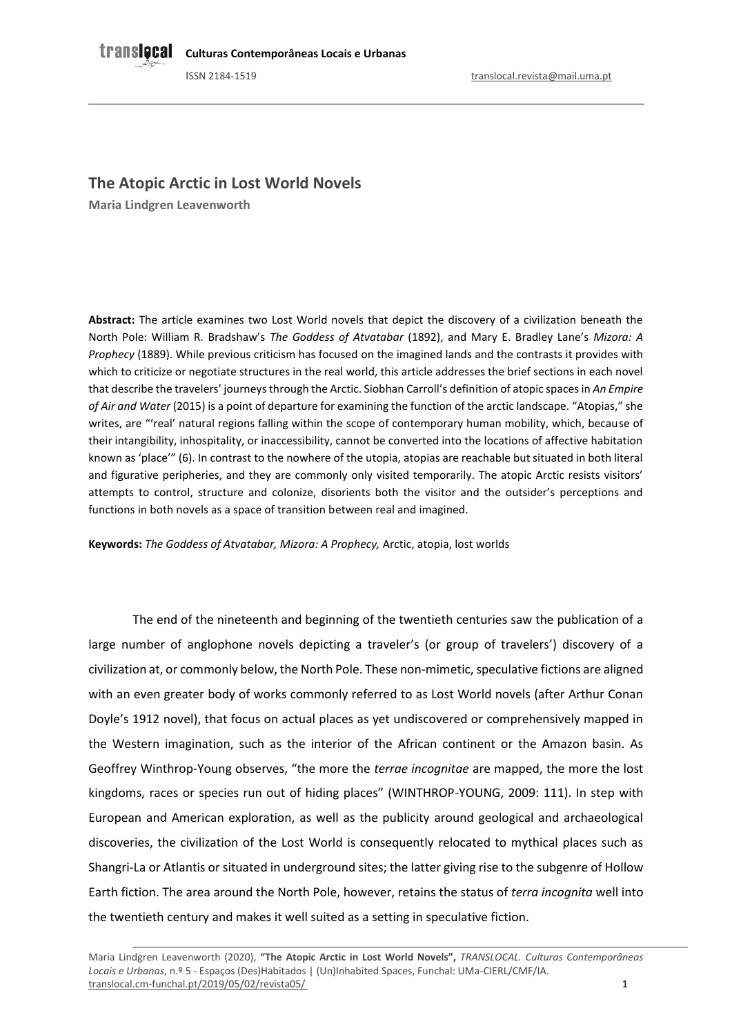# **The Atopic Arctic in Lost World Novels**

**Maria Lindgren Leavenworth**

**Abstract:** The article examines two Lost World novels that depict the discovery of a civilization beneath the North Pole: William R. Bradshaw's *The Goddess of Atvatabar* (1892), and Mary E. Bradley Lane's *Mizora: A Prophecy* (1889). While previous criticism has focused on the imagined lands and the contrasts it provides with which to criticize or negotiate structures in the real world, this article addresses the brief sections in each novel that describe the travelers' journeys through the Arctic. Siobhan Carroll's definition of atopic spaces in *An Empire of Air and Water* (2015) is a point of departure for examining the function of the arctic landscape. "Atopias," she writes, are "'real' natural regions falling within the scope of contemporary human mobility, which, because of their intangibility, inhospitality, or inaccessibility, cannot be converted into the locations of affective habitation known as 'place'" (6). In contrast to the nowhere of the utopia, atopias are reachable but situated in both literal and figurative peripheries, and they are commonly only visited temporarily. The atopic Arctic resists visitors' attempts to control, structure and colonize, disorients both the visitor and the outsider's perceptions and functions in both novels as a space of transition between real and imagined.

**Keywords:** *The Goddess of Atvatabar, Mizora: A Prophecy,* Arctic, atopia, lost worlds

The end of the nineteenth and beginning of the twentieth centuries saw the publication of a large number of anglophone novels depicting a traveler's (or group of travelers') discovery of a civilization at, or commonly below, the North Pole. These non-mimetic, speculative fictions are aligned with an even greater body of works commonly referred to as Lost World novels (after Arthur Conan Doyle's 1912 novel), that focus on actual places as yet undiscovered or comprehensively mapped in the Western imagination, such as the interior of the African continent or the Amazon basin. As Geoffrey Winthrop-Young observes, "the more the *terrae incognitae* are mapped, the more the lost kingdoms, races or species run out of hiding places" (WINTHROP-YOUNG, 2009: 111). In step with European and American exploration, as well as the publicity around geological and archaeological discoveries, the civilization of the Lost World is consequently relocated to mythical places such as Shangri-La or Atlantis or situated in underground sites; the latter giving rise to the subgenre of Hollow Earth fiction. The area around the North Pole, however, retains the status of *terra incognita* well into the twentieth century and makes it well suited as a setting in speculative fiction.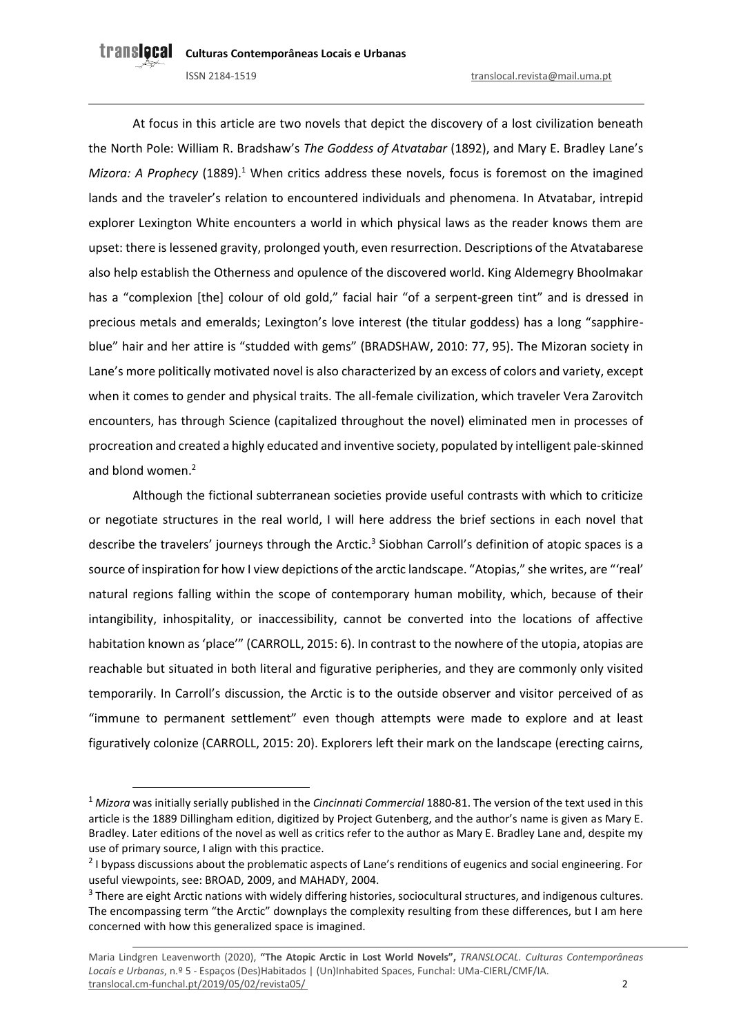At focus in this article are two novels that depict the discovery of a lost civilization beneath the North Pole: William R. Bradshaw's *The Goddess of Atvatabar* (1892), and Mary E. Bradley Lane's *Mizora: A Prophecy* (1889).<sup>1</sup> When critics address these novels, focus is foremost on the imagined lands and the traveler's relation to encountered individuals and phenomena. In Atvatabar, intrepid explorer Lexington White encounters a world in which physical laws as the reader knows them are upset: there is lessened gravity, prolonged youth, even resurrection. Descriptions of the Atvatabarese also help establish the Otherness and opulence of the discovered world. King Aldemegry Bhoolmakar has a "complexion [the] colour of old gold," facial hair "of a serpent-green tint" and is dressed in precious metals and emeralds; Lexington's love interest (the titular goddess) has a long "sapphireblue" hair and her attire is "studded with gems" (BRADSHAW, 2010: 77, 95). The Mizoran society in Lane's more politically motivated novel is also characterized by an excess of colors and variety, except when it comes to gender and physical traits. The all-female civilization, which traveler Vera Zarovitch encounters, has through Science (capitalized throughout the novel) eliminated men in processes of procreation and created a highly educated and inventive society, populated by intelligent pale-skinned and blond women.<sup>2</sup>

Although the fictional subterranean societies provide useful contrasts with which to criticize or negotiate structures in the real world, I will here address the brief sections in each novel that describe the travelers' journeys through the Arctic.<sup>3</sup> Siobhan Carroll's definition of atopic spaces is a source of inspiration for how I view depictions of the arctic landscape. "Atopias," she writes, are "'real' natural regions falling within the scope of contemporary human mobility, which, because of their intangibility, inhospitality, or inaccessibility, cannot be converted into the locations of affective habitation known as 'place'" (CARROLL, 2015: 6). In contrast to the nowhere of the utopia, atopias are reachable but situated in both literal and figurative peripheries, and they are commonly only visited temporarily. In Carroll's discussion, the Arctic is to the outside observer and visitor perceived of as "immune to permanent settlement" even though attempts were made to explore and at least figuratively colonize (CARROLL, 2015: 20). Explorers left their mark on the landscape (erecting cairns,

<sup>1</sup> *Mizora* was initially serially published in the *Cincinnati Commercial* 1880-81. The version of the text used in this article is the 1889 Dillingham edition, digitized by Project Gutenberg, and the author's name is given as Mary E. Bradley. Later editions of the novel as well as critics refer to the author as Mary E. Bradley Lane and, despite my use of primary source, I align with this practice.

<sup>&</sup>lt;sup>2</sup> I bypass discussions about the problematic aspects of Lane's renditions of eugenics and social engineering. For useful viewpoints, see: BROAD, 2009, and MAHADY, 2004.

<sup>&</sup>lt;sup>3</sup> There are eight Arctic nations with widely differing histories, sociocultural structures, and indigenous cultures. The encompassing term "the Arctic" downplays the complexity resulting from these differences, but I am here concerned with how this generalized space is imagined.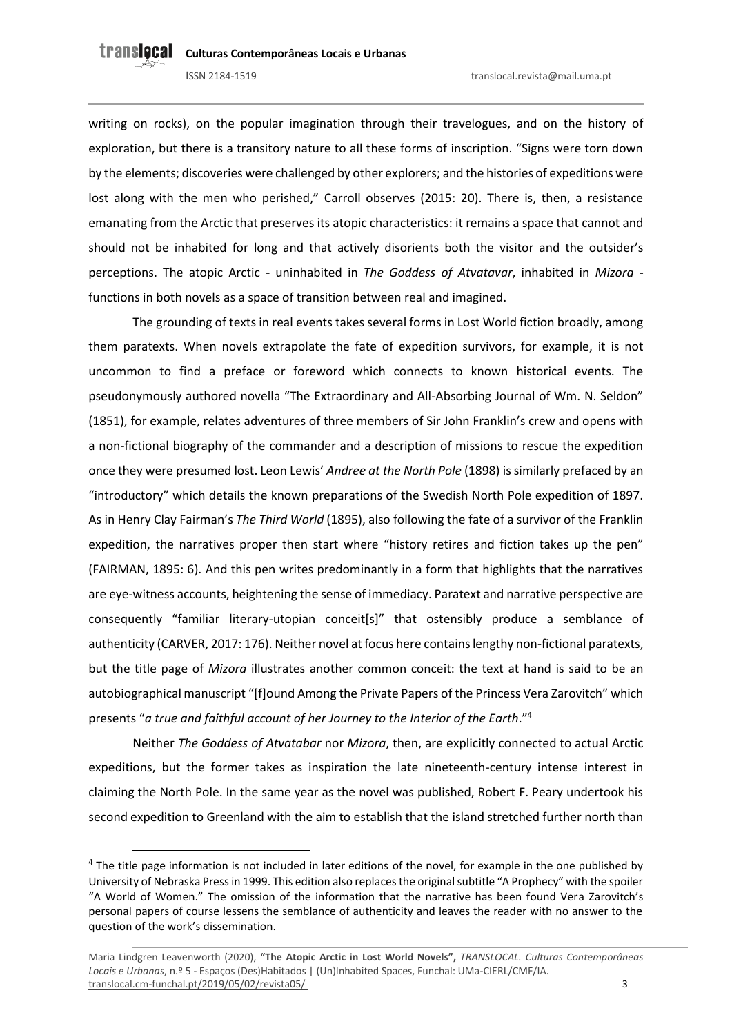writing on rocks), on the popular imagination through their travelogues, and on the history of exploration, but there is a transitory nature to all these forms of inscription. "Signs were torn down by the elements; discoveries were challenged by other explorers; and the histories of expeditions were lost along with the men who perished," Carroll observes (2015: 20). There is, then, a resistance emanating from the Arctic that preserves its atopic characteristics: it remains a space that cannot and should not be inhabited for long and that actively disorients both the visitor and the outsider's perceptions. The atopic Arctic - uninhabited in *The Goddess of Atvatavar*, inhabited in *Mizora* functions in both novels as a space of transition between real and imagined.

The grounding of texts in real events takes several forms in Lost World fiction broadly, among them paratexts. When novels extrapolate the fate of expedition survivors, for example, it is not uncommon to find a preface or foreword which connects to known historical events. The pseudonymously authored novella "The Extraordinary and All-Absorbing Journal of Wm. N. Seldon" (1851), for example, relates adventures of three members of Sir John Franklin's crew and opens with a non-fictional biography of the commander and a description of missions to rescue the expedition once they were presumed lost. Leon Lewis' *Andree at the North Pole* (1898) is similarly prefaced by an "introductory" which details the known preparations of the Swedish North Pole expedition of 1897. As in Henry Clay Fairman's *The Third World* (1895), also following the fate of a survivor of the Franklin expedition, the narratives proper then start where "history retires and fiction takes up the pen" (FAIRMAN, 1895: 6). And this pen writes predominantly in a form that highlights that the narratives are eye-witness accounts, heightening the sense of immediacy. Paratext and narrative perspective are consequently "familiar literary-utopian conceit[s]" that ostensibly produce a semblance of authenticity (CARVER, 2017: 176). Neither novel at focus here contains lengthy non-fictional paratexts, but the title page of *Mizora* illustrates another common conceit: the text at hand is said to be an autobiographical manuscript "[f]ound Among the Private Papers of the Princess Vera Zarovitch" which presents "*a true and faithful account of her Journey to the Interior of the Earth*."<sup>4</sup>

Neither *The Goddess of Atvatabar* nor *Mizora*, then, are explicitly connected to actual Arctic expeditions, but the former takes as inspiration the late nineteenth-century intense interest in claiming the North Pole. In the same year as the novel was published, Robert F. Peary undertook his second expedition to Greenland with the aim to establish that the island stretched further north than

 $<sup>4</sup>$  The title page information is not included in later editions of the novel, for example in the one published by</sup> University of Nebraska Press in 1999. This edition also replaces the original subtitle "A Prophecy" with the spoiler "A World of Women." The omission of the information that the narrative has been found Vera Zarovitch's personal papers of course lessens the semblance of authenticity and leaves the reader with no answer to the question of the work's dissemination.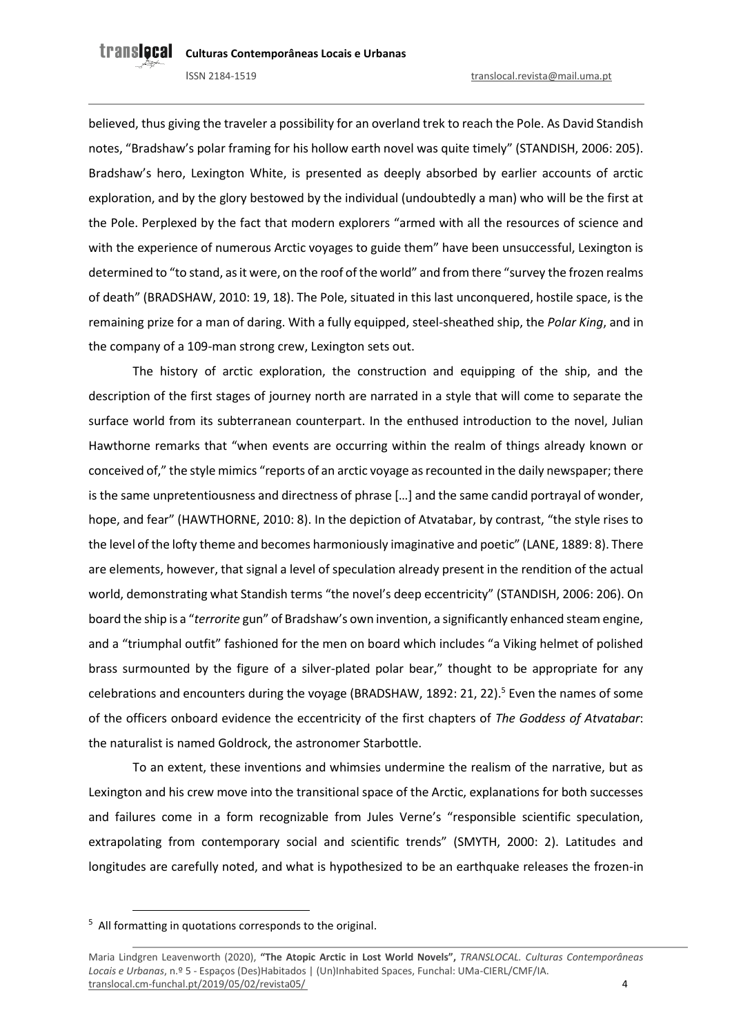believed, thus giving the traveler a possibility for an overland trek to reach the Pole. As David Standish notes, "Bradshaw's polar framing for his hollow earth novel was quite timely" (STANDISH, 2006: 205). Bradshaw's hero, Lexington White, is presented as deeply absorbed by earlier accounts of arctic exploration, and by the glory bestowed by the individual (undoubtedly a man) who will be the first at the Pole. Perplexed by the fact that modern explorers "armed with all the resources of science and with the experience of numerous Arctic voyages to guide them" have been unsuccessful, Lexington is determined to "to stand, as it were, on the roof of the world" and from there "survey the frozen realms of death" (BRADSHAW, 2010: 19, 18). The Pole, situated in this last unconquered, hostile space, is the remaining prize for a man of daring. With a fully equipped, steel-sheathed ship, the *Polar King*, and in the company of a 109-man strong crew, Lexington sets out.

The history of arctic exploration, the construction and equipping of the ship, and the description of the first stages of journey north are narrated in a style that will come to separate the surface world from its subterranean counterpart. In the enthused introduction to the novel, Julian Hawthorne remarks that "when events are occurring within the realm of things already known or conceived of," the style mimics "reports of an arctic voyage as recounted in the daily newspaper; there is the same unpretentiousness and directness of phrase […] and the same candid portrayal of wonder, hope, and fear" (HAWTHORNE, 2010: 8). In the depiction of Atvatabar, by contrast, "the style rises to the level of the lofty theme and becomes harmoniously imaginative and poetic" (LANE, 1889: 8). There are elements, however, that signal a level of speculation already present in the rendition of the actual world, demonstrating what Standish terms "the novel's deep eccentricity" (STANDISH, 2006: 206). On board the ship is a "*terrorite* gun" of Bradshaw's own invention, a significantly enhanced steam engine, and a "triumphal outfit" fashioned for the men on board which includes "a Viking helmet of polished brass surmounted by the figure of a silver-plated polar bear," thought to be appropriate for any celebrations and encounters during the voyage (BRADSHAW, 1892: 21, 22).<sup>5</sup> Even the names of some of the officers onboard evidence the eccentricity of the first chapters of *The Goddess of Atvatabar*: the naturalist is named Goldrock, the astronomer Starbottle.

To an extent, these inventions and whimsies undermine the realism of the narrative, but as Lexington and his crew move into the transitional space of the Arctic, explanations for both successes and failures come in a form recognizable from Jules Verne's "responsible scientific speculation, extrapolating from contemporary social and scientific trends" (SMYTH, 2000: 2). Latitudes and longitudes are carefully noted, and what is hypothesized to be an earthquake releases the frozen-in

<sup>5</sup> All formatting in quotations corresponds to the original.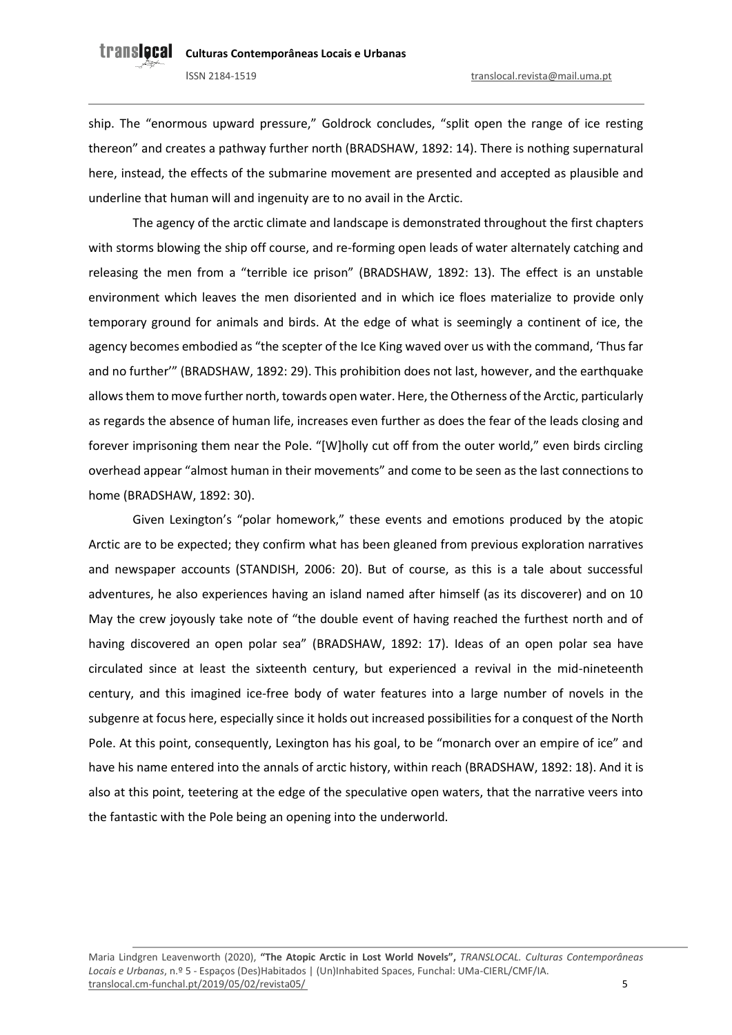ship. The "enormous upward pressure," Goldrock concludes, "split open the range of ice resting thereon" and creates a pathway further north (BRADSHAW, 1892: 14). There is nothing supernatural here, instead, the effects of the submarine movement are presented and accepted as plausible and underline that human will and ingenuity are to no avail in the Arctic.

The agency of the arctic climate and landscape is demonstrated throughout the first chapters with storms blowing the ship off course, and re-forming open leads of water alternately catching and releasing the men from a "terrible ice prison" (BRADSHAW, 1892: 13). The effect is an unstable environment which leaves the men disoriented and in which ice floes materialize to provide only temporary ground for animals and birds. At the edge of what is seemingly a continent of ice, the agency becomes embodied as "the scepter of the Ice King waved over us with the command, 'Thus far and no further'" (BRADSHAW, 1892: 29). This prohibition does not last, however, and the earthquake allows them to move further north, towards open water. Here, the Otherness of the Arctic, particularly as regards the absence of human life, increases even further as does the fear of the leads closing and forever imprisoning them near the Pole. "[W]holly cut off from the outer world," even birds circling overhead appear "almost human in their movements" and come to be seen as the last connections to home (BRADSHAW, 1892: 30).

Given Lexington's "polar homework," these events and emotions produced by the atopic Arctic are to be expected; they confirm what has been gleaned from previous exploration narratives and newspaper accounts (STANDISH, 2006: 20). But of course, as this is a tale about successful adventures, he also experiences having an island named after himself (as its discoverer) and on 10 May the crew joyously take note of "the double event of having reached the furthest north and of having discovered an open polar sea" (BRADSHAW, 1892: 17). Ideas of an open polar sea have circulated since at least the sixteenth century, but experienced a revival in the mid-nineteenth century, and this imagined ice-free body of water features into a large number of novels in the subgenre at focus here, especially since it holds out increased possibilities for a conquest of the North Pole. At this point, consequently, Lexington has his goal, to be "monarch over an empire of ice" and have his name entered into the annals of arctic history, within reach (BRADSHAW, 1892: 18). And it is also at this point, teetering at the edge of the speculative open waters, that the narrative veers into the fantastic with the Pole being an opening into the underworld.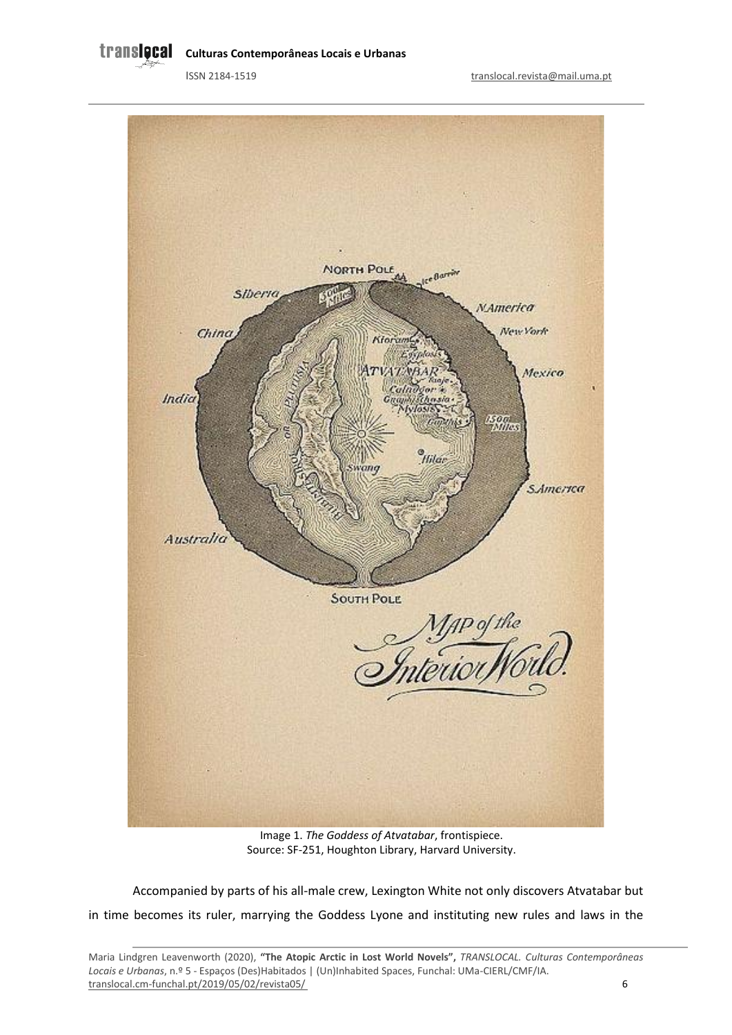**Culturas Contemporâneas Locais e Urbanas** 



Image 1. *The Goddess of Atvatabar*, frontispiece. Source: SF-251, Houghton Library, Harvard University.

Accompanied by parts of his all-male crew, Lexington White not only discovers Atvatabar but in time becomes its ruler, marrying the Goddess Lyone and instituting new rules and laws in the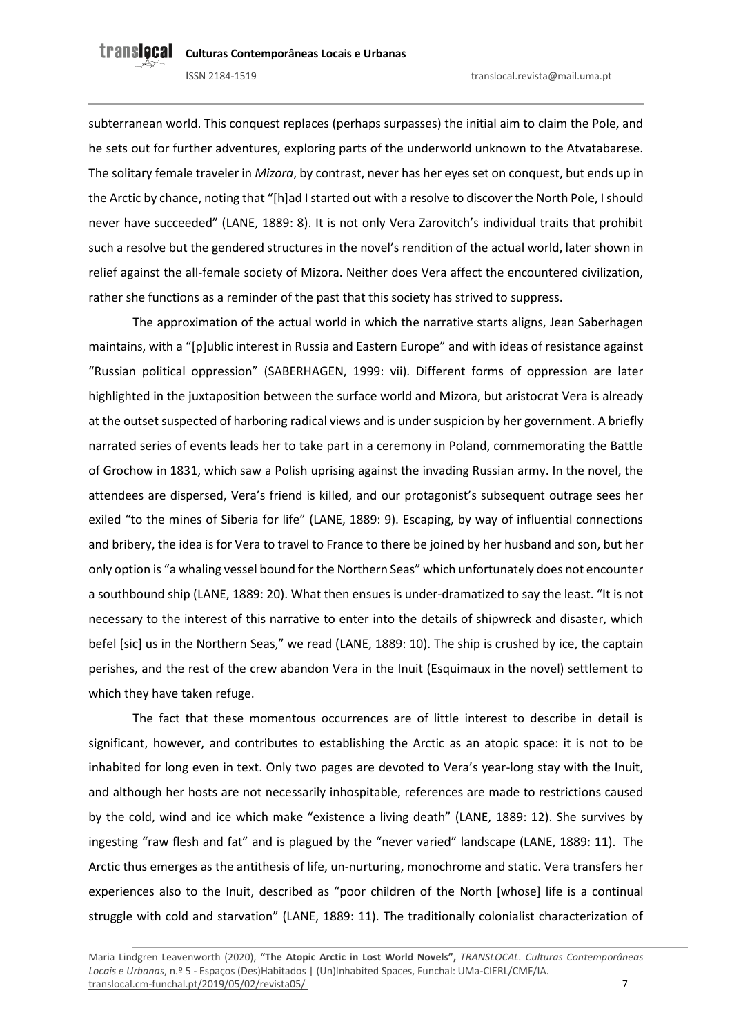subterranean world. This conquest replaces (perhaps surpasses) the initial aim to claim the Pole, and he sets out for further adventures, exploring parts of the underworld unknown to the Atvatabarese. The solitary female traveler in *Mizora*, by contrast, never has her eyes set on conquest, but ends up in the Arctic by chance, noting that "[h]ad I started out with a resolve to discover the North Pole, I should never have succeeded" (LANE, 1889: 8). It is not only Vera Zarovitch's individual traits that prohibit such a resolve but the gendered structures in the novel's rendition of the actual world, later shown in relief against the all-female society of Mizora. Neither does Vera affect the encountered civilization, rather she functions as a reminder of the past that this society has strived to suppress.

The approximation of the actual world in which the narrative starts aligns, Jean Saberhagen maintains, with a "[p]ublic interest in Russia and Eastern Europe" and with ideas of resistance against "Russian political oppression" (SABERHAGEN, 1999: vii). Different forms of oppression are later highlighted in the juxtaposition between the surface world and Mizora, but aristocrat Vera is already at the outset suspected of harboring radical views and is under suspicion by her government. A briefly narrated series of events leads her to take part in a ceremony in Poland, commemorating the Battle of Grochow in 1831, which saw a Polish uprising against the invading Russian army. In the novel, the attendees are dispersed, Vera's friend is killed, and our protagonist's subsequent outrage sees her exiled "to the mines of Siberia for life" (LANE, 1889: 9). Escaping, by way of influential connections and bribery, the idea is for Vera to travel to France to there be joined by her husband and son, but her only option is "a whaling vessel bound for the Northern Seas" which unfortunately does not encounter a southbound ship (LANE, 1889: 20). What then ensues is under-dramatized to say the least. "It is not necessary to the interest of this narrative to enter into the details of shipwreck and disaster, which befel [sic] us in the Northern Seas," we read (LANE, 1889: 10). The ship is crushed by ice, the captain perishes, and the rest of the crew abandon Vera in the Inuit (Esquimaux in the novel) settlement to which they have taken refuge.

The fact that these momentous occurrences are of little interest to describe in detail is significant, however, and contributes to establishing the Arctic as an atopic space: it is not to be inhabited for long even in text. Only two pages are devoted to Vera's year-long stay with the Inuit, and although her hosts are not necessarily inhospitable, references are made to restrictions caused by the cold, wind and ice which make "existence a living death" (LANE, 1889: 12). She survives by ingesting "raw flesh and fat" and is plagued by the "never varied" landscape (LANE, 1889: 11). The Arctic thus emerges as the antithesis of life, un-nurturing, monochrome and static. Vera transfers her experiences also to the Inuit, described as "poor children of the North [whose] life is a continual struggle with cold and starvation" (LANE, 1889: 11). The traditionally colonialist characterization of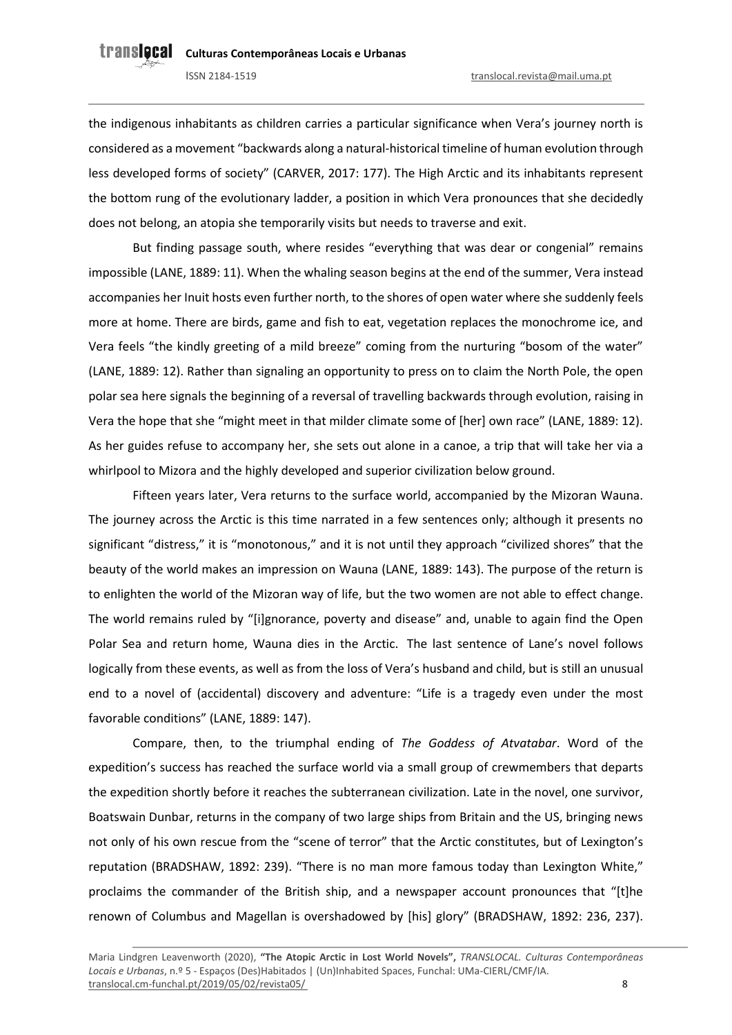the indigenous inhabitants as children carries a particular significance when Vera's journey north is considered as a movement "backwards along a natural-historical timeline of human evolution through less developed forms of society" (CARVER, 2017: 177). The High Arctic and its inhabitants represent the bottom rung of the evolutionary ladder, a position in which Vera pronounces that she decidedly does not belong, an atopia she temporarily visits but needs to traverse and exit.

But finding passage south, where resides "everything that was dear or congenial" remains impossible (LANE, 1889: 11). When the whaling season begins at the end of the summer, Vera instead accompanies her Inuit hosts even further north, to the shores of open water where she suddenly feels more at home. There are birds, game and fish to eat, vegetation replaces the monochrome ice, and Vera feels "the kindly greeting of a mild breeze" coming from the nurturing "bosom of the water" (LANE, 1889: 12). Rather than signaling an opportunity to press on to claim the North Pole, the open polar sea here signals the beginning of a reversal of travelling backwards through evolution, raising in Vera the hope that she "might meet in that milder climate some of [her] own race" (LANE, 1889: 12). As her guides refuse to accompany her, she sets out alone in a canoe, a trip that will take her via a whirlpool to Mizora and the highly developed and superior civilization below ground.

Fifteen years later, Vera returns to the surface world, accompanied by the Mizoran Wauna. The journey across the Arctic is this time narrated in a few sentences only; although it presents no significant "distress," it is "monotonous," and it is not until they approach "civilized shores" that the beauty of the world makes an impression on Wauna (LANE, 1889: 143). The purpose of the return is to enlighten the world of the Mizoran way of life, but the two women are not able to effect change. The world remains ruled by "[i]gnorance, poverty and disease" and, unable to again find the Open Polar Sea and return home, Wauna dies in the Arctic. The last sentence of Lane's novel follows logically from these events, as well as from the loss of Vera's husband and child, but is still an unusual end to a novel of (accidental) discovery and adventure: "Life is a tragedy even under the most favorable conditions" (LANE, 1889: 147).

Compare, then, to the triumphal ending of *The Goddess of Atvatabar*. Word of the expedition's success has reached the surface world via a small group of crewmembers that departs the expedition shortly before it reaches the subterranean civilization. Late in the novel, one survivor, Boatswain Dunbar, returns in the company of two large ships from Britain and the US, bringing news not only of his own rescue from the "scene of terror" that the Arctic constitutes, but of Lexington's reputation (BRADSHAW, 1892: 239). "There is no man more famous today than Lexington White," proclaims the commander of the British ship, and a newspaper account pronounces that "[t]he renown of Columbus and Magellan is overshadowed by [his] glory" (BRADSHAW, 1892: 236, 237).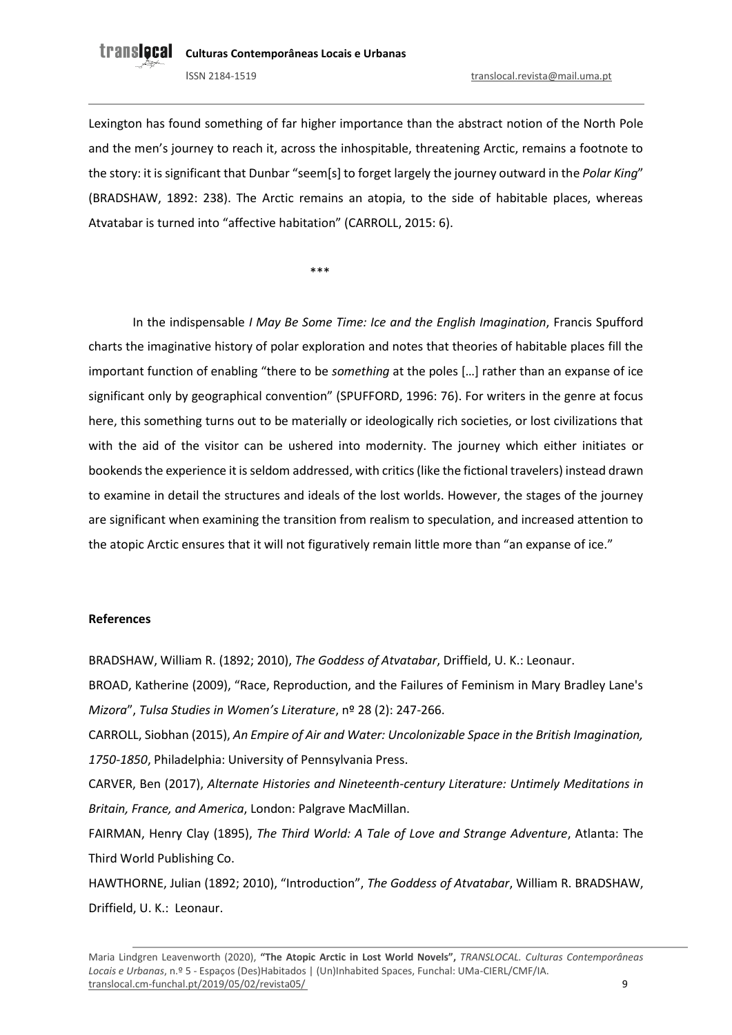Lexington has found something of far higher importance than the abstract notion of the North Pole and the men's journey to reach it, across the inhospitable, threatening Arctic, remains a footnote to the story: it is significant that Dunbar "seem[s] to forget largely the journey outward in the *Polar King*" (BRADSHAW, 1892: 238). The Arctic remains an atopia, to the side of habitable places, whereas Atvatabar is turned into "affective habitation" (CARROLL, 2015: 6).

\*\*\*

In the indispensable *I May Be Some Time: Ice and the English Imagination*, Francis Spufford charts the imaginative history of polar exploration and notes that theories of habitable places fill the important function of enabling "there to be *something* at the poles […] rather than an expanse of ice significant only by geographical convention" (SPUFFORD, 1996: 76). For writers in the genre at focus here, this something turns out to be materially or ideologically rich societies, or lost civilizations that with the aid of the visitor can be ushered into modernity. The journey which either initiates or bookends the experience it is seldom addressed, with critics (like the fictional travelers) instead drawn to examine in detail the structures and ideals of the lost worlds. However, the stages of the journey are significant when examining the transition from realism to speculation, and increased attention to the atopic Arctic ensures that it will not figuratively remain little more than "an expanse of ice."

### **References**

BRADSHAW, William R. (1892; 2010), *The Goddess of Atvatabar*, Driffield, U. K.: Leonaur.

BROAD, Katherine (2009), "Race, Reproduction, and the Failures of Feminism in Mary Bradley Lane's *Mizora*", *Tulsa Studies in Women's Literature*, nº 28 (2): 247-266.

CARROLL, Siobhan (2015), *An Empire of Air and Water: Uncolonizable Space in the British Imagination, 1750-1850*, Philadelphia: University of Pennsylvania Press.

CARVER, Ben (2017), *Alternate Histories and Nineteenth-century Literature: Untimely Meditations in Britain, France, and America*, London: Palgrave MacMillan.

FAIRMAN, Henry Clay (1895), *The Third World: A Tale of Love and Strange Adventure*, Atlanta: The Third World Publishing Co.

HAWTHORNE, Julian (1892; 2010), "Introduction", *The Goddess of Atvatabar*, William R. BRADSHAW, Driffield, U. K.: Leonaur.